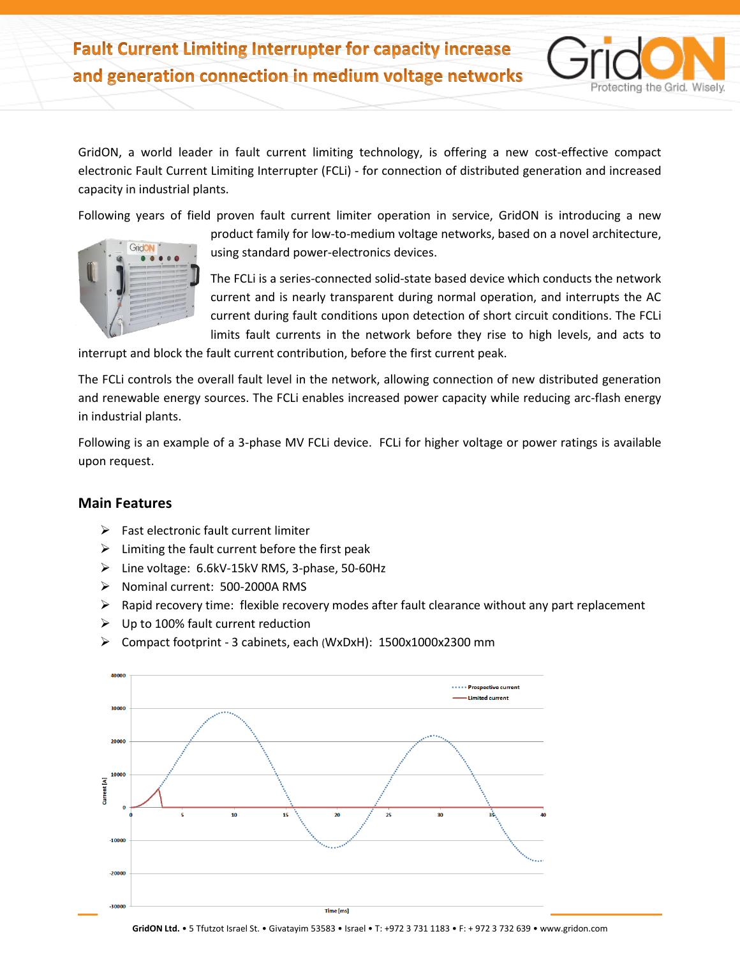

GridON, a world leader in fault current limiting technology, is offering a new cost-effective compact electronic Fault Current Limiting Interrupter (FCLi) - for connection of distributed generation and increased capacity in industrial plants.

Following years of field proven fault current limiter operation in service, GridON is introducing a new



product family for low-to-medium voltage networks, based on a novel architecture, using standard power-electronics devices.

The FCLi is a series-connected solid-state based device which conducts the network current and is nearly transparent during normal operation, and interrupts the AC current during fault conditions upon detection of short circuit conditions. The FCLi limits fault currents in the network before they rise to high levels, and acts to

interrupt and block the fault current contribution, before the first current peak.

The FCLi controls the overall fault level in the network, allowing connection of new distributed generation and renewable energy sources. The FCLi enables increased power capacity while reducing arc-flash energy in industrial plants.

Following is an example of a 3-phase MV FCLi device. FCLi for higher voltage or power ratings is available upon request.

## **Main Features**

- $\triangleright$  Fast electronic fault current limiter
- $\triangleright$  Limiting the fault current before the first peak
- Line voltage: 6.6kV-15kV RMS, 3-phase, 50-60Hz
- ▶ Nominal current: 500-2000A RMS
- $\triangleright$  Rapid recovery time: flexible recovery modes after fault clearance without any part replacement
- Up to 100% fault current reduction
- Compact footprint 3 cabinets, each (WxDxH): 1500x1000x2300 mm